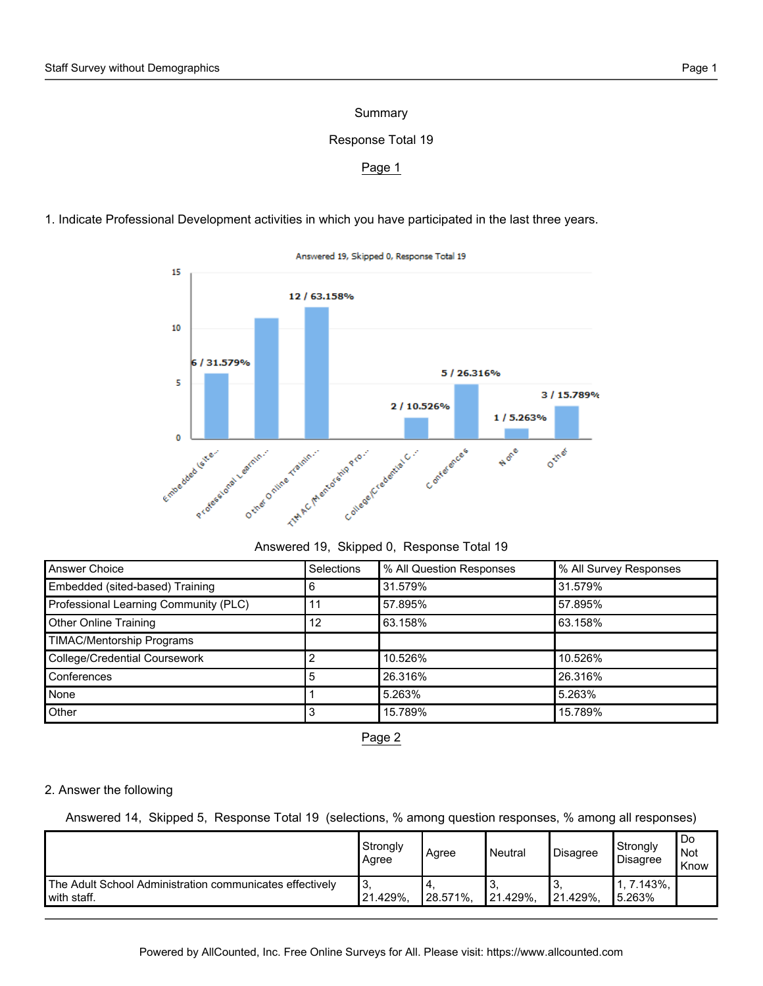### Summary

## Response Total 19

#### Page 1

1. Indicate Professional Development activities in which you have participated in the last three years.



Answered 19, Skipped 0, Response Total 19

| Answered 19, Skipped 0, Response Total 19 |  |  |  |  |
|-------------------------------------------|--|--|--|--|
|-------------------------------------------|--|--|--|--|

| Answer Choice                         | Selections | % All Question Responses | % All Survey Responses |
|---------------------------------------|------------|--------------------------|------------------------|
| Embedded (sited-based) Training       | 6          | 31.579%                  | 31.579%                |
| Professional Learning Community (PLC) |            | 57.895%                  | 57.895%                |
| <b>Other Online Training</b>          | 12         | 63.158%                  | 63.158%                |
| <b>TIMAC/Mentorship Programs</b>      |            |                          |                        |
| <b>College/Credential Coursework</b>  |            | 10.526%                  | 10.526%                |
| Conferences                           | 5          | 26.316%                  | 26.316%                |
| <b>None</b>                           |            | 5.263%                   | 5.263%                 |
| Other                                 |            | 15.789%                  | 15.789%                |

Page 2

#### 2. Answer the following

Answered 14, Skipped 5, Response Total 19 (selections, % among question responses, % among all responses)

|                                                          | Strongly<br>Agree | Agree         | Neutral  | <sup><i>I</i></sup> Disagree | Strongly<br><b>Disagree</b> | Do<br>¶Not<br>Know |
|----------------------------------------------------------|-------------------|---------------|----------|------------------------------|-----------------------------|--------------------|
| The Adult School Administration communicates effectively | 3.                | $^{\circ}$ 4. | O.       | ِب                           | $7.143\%$ ,                 |                    |
| with staff.                                              | 121.429%,         | 28.571%,      | 21.429%, | $121.429\%$ ,                | 5.263%                      |                    |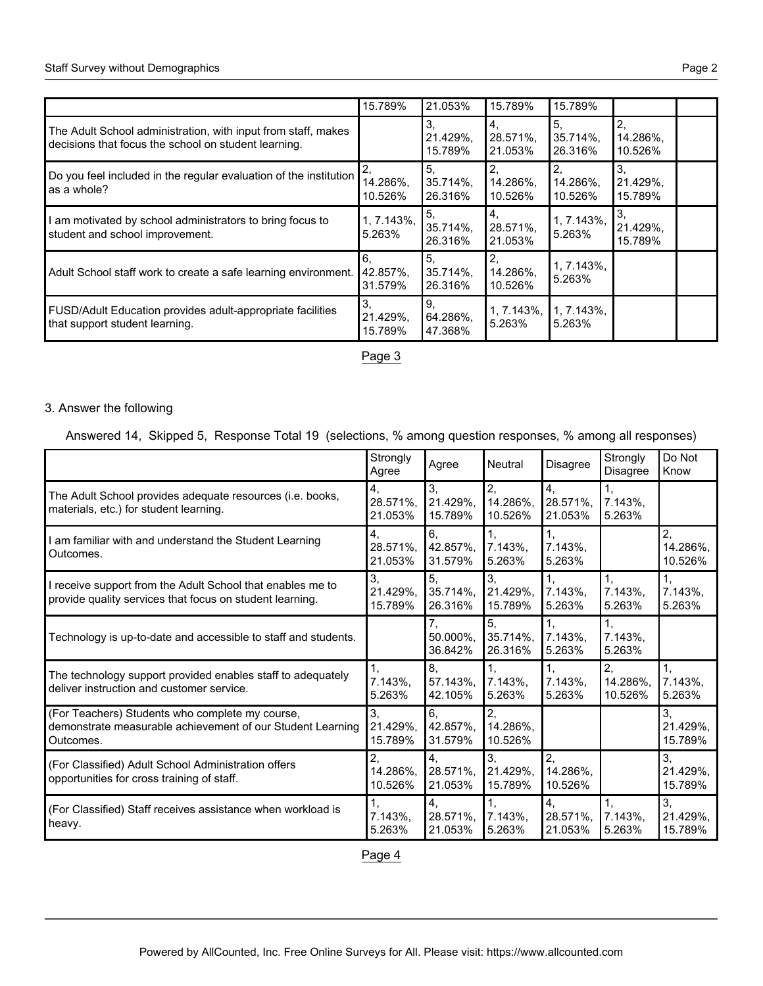|                                                                                                                       | 15.789%                   | 21.053%                               | 15.789%                    | 15.789%                     |                           |  |
|-----------------------------------------------------------------------------------------------------------------------|---------------------------|---------------------------------------|----------------------------|-----------------------------|---------------------------|--|
| The Adult School administration, with input from staff, makes<br>decisions that focus the school on student learning. |                           | 3.<br>21.429%,<br>15.789%             | 4.<br>28.571%,<br>21.053%  | 5,<br>$35.714\%$<br>26.316% | 2,<br>14.286%,<br>10.526% |  |
| Do you feel included in the regular evaluation of the institution<br>as a whole?                                      | 14.286%,<br>10.526%       | 5 <sub>1</sub><br>35.714%,<br>26.316% | 2,<br>14.286%,<br>10.526%  | 2,<br>14.286%,<br>10.526%   | 3.<br>21.429%,<br>15.789% |  |
| I am motivated by school administrators to bring focus to<br>student and school improvement.                          | 1, 7.143%,<br>5.263%      | 5,<br>35.714%,<br>26.316%             | 14.<br>28.571%,<br>21.053% | $1, 7.143\%$ ,<br>5.263%    | 3.<br>21.429%,<br>15.789% |  |
| Adult School staff work to create a safe learning environment.                                                        | 6.<br>42.857%,<br>31.579% | 5.<br>$35.714\%$ .<br>26.316%         | 2,<br>14.286%,<br>10.526%  | 1, 7.143%,<br>5.263%        |                           |  |
| FUSD/Adult Education provides adult-appropriate facilities<br>that support student learning.                          | 3.<br>21.429%,<br>15.789% | 9.<br>64.286%,<br>47.368%             | 1, 7.143%,<br>5.263%       | $1, 7.143\%$<br>5.263%      |                           |  |

Page 3

#### 3. Answer the following

Answered 14, Skipped 5, Response Total 19 (selections, % among question responses, % among all responses)

|                                                                                                                            | Strongly<br>Agree         | Agree                     | Neutral                       | <b>Disagree</b>             | Strongly<br>Disagree        | Do Not<br>Know            |
|----------------------------------------------------------------------------------------------------------------------------|---------------------------|---------------------------|-------------------------------|-----------------------------|-----------------------------|---------------------------|
| The Adult School provides adequate resources (i.e. books,<br>materials, etc.) for student learning.                        | 4.<br>28.571%,<br>21.053% | 3,<br>21.429%,<br>15.789% | 2,<br>14.286%,<br>10.526%     | 4.<br>28.571%,<br>21.053%   | 1.<br>$7.143\%$ ,<br>5.263% |                           |
| am familiar with and understand the Student Learning<br>Outcomes.                                                          | 4.<br>28.571%,<br>21.053% | 6.<br>42.857%,<br>31.579% | 1.<br>7.143%,<br>5.263%       | 1,<br>$7.143\%$<br>5.263%   |                             | 2,<br>14.286%,<br>10.526% |
| I receive support from the Adult School that enables me to<br>provide quality services that focus on student learning.     | 3,<br>21.429%,<br>15.789% | 5,<br>35.714%,<br>26.316% | 3,<br>21.429%,<br>15.789%     | 1.<br>7.143%,<br>5.263%     | 1,<br>7.143%,<br>5.263%     | 1.<br>$7.143\%$<br>5.263% |
| Technology is up-to-date and accessible to staff and students.                                                             |                           | 7,<br>50.000%.<br>36.842% | 5,<br>$35.714\%$ .<br>26.316% | 1,<br>$7.143\%$ .<br>5.263% | 1,<br>7.143%.<br>5.263%     |                           |
| The technology support provided enables staff to adequately<br>deliver instruction and customer service.                   | 1,<br>7.143%,<br>5.263%   | 8,<br>57.143%,<br>42.105% | 1,<br>7.143%,<br>5.263%       | 1,<br>7.143%,<br>5.263%     | 2,<br>14.286%,<br>10.526%   | 1,<br>7.143%,<br>5.263%   |
| (For Teachers) Students who complete my course,<br>demonstrate measurable achievement of our Student Learning<br>Outcomes. | 3.<br>21.429%.<br>15.789% | 6,<br>42.857%.<br>31.579% | 2,<br>14.286%,<br>10.526%     |                             |                             | 3,<br>21.429%,<br>15.789% |
| (For Classified) Adult School Administration offers<br>opportunities for cross training of staff.                          | 2,<br>14.286%,<br>10.526% | 4.<br>28.571%,<br>21.053% | 3,<br>21.429%,<br>15.789%     | 2,<br>14.286%,<br>10.526%   |                             | 3,<br>21.429%,<br>15.789% |
| (For Classified) Staff receives assistance when workload is<br>heavy.                                                      | 1,<br>7.143%,<br>5.263%   | 4,<br>28.571%,<br>21.053% | 1,<br>$7.143\%$<br>5.263%     | 4,<br>28.571%,<br>21.053%   | 1,<br>$7.143\%$ .<br>5.263% | 3,<br>21.429%,<br>15.789% |

Page 4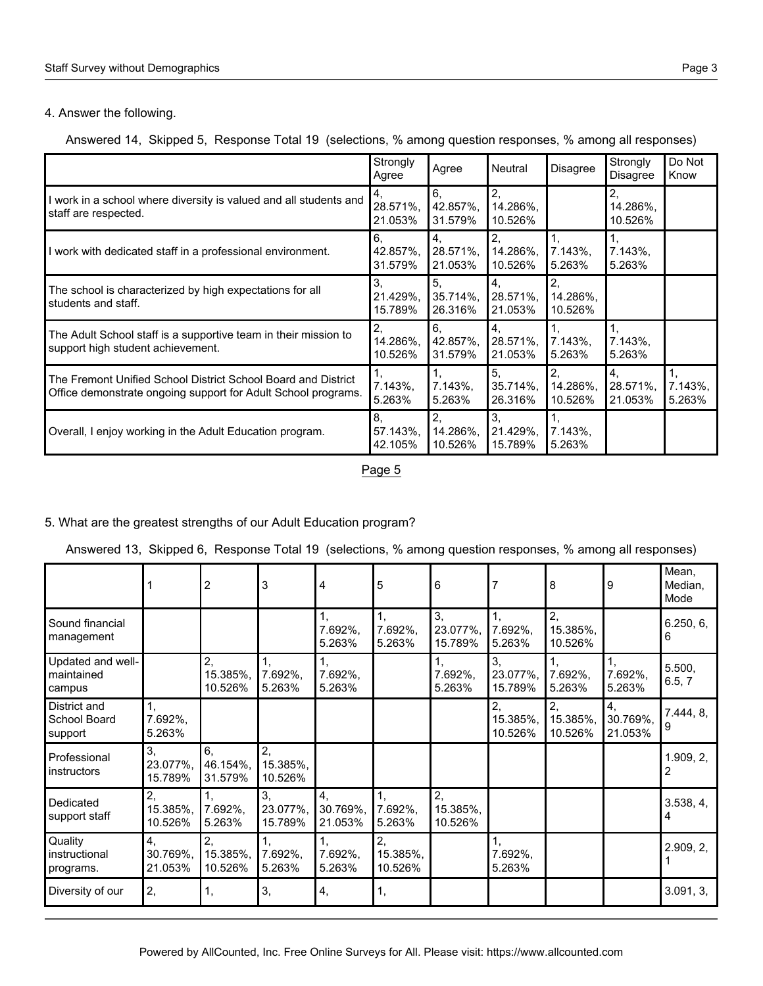#### 4. Answer the following.

#### Answered 14, Skipped 5, Response Total 19 (selections, % among question responses, % among all responses)

|                                                                                                                                | Strongly<br>Agree           | Agree                       | Neutral                                   | <b>Disagree</b>           | Strongly<br><b>Disagree</b> | Do Not<br>Know          |
|--------------------------------------------------------------------------------------------------------------------------------|-----------------------------|-----------------------------|-------------------------------------------|---------------------------|-----------------------------|-------------------------|
| I work in a school where diversity is valued and all students and<br>staff are respected.                                      | 4,<br>28.571%,<br>21.053%   | 6.<br>42.857%,<br>31.579%   | 2,<br>14.286%,<br>10.526%                 |                           | 2,<br>14.286%,<br>10.526%   |                         |
| I work with dedicated staff in a professional environment.                                                                     | 6.<br>42.857%.<br>31.579%   | 4.<br>28.571%,<br>21.053%   | 2,<br>14.286%,<br>10.526%                 | $7.143\%$ ,<br>5.263%     | 1,<br>$7.143\%$<br>5.263%   |                         |
| The school is characterized by high expectations for all<br>students and staff.                                                | 3.<br>21.429%,<br>15.789%   | 5,<br>$35.714\%$<br>26.316% | 4.<br>28.571%,<br>21.053%                 | 2,<br>14.286%,<br>10.526% |                             |                         |
| The Adult School staff is a supportive team in their mission to<br>support high student achievement.                           | 2,<br>14.286%,<br>10.526%   | 6.<br>42.857%,<br>31.579%   | 4.<br>28.571%,<br>21.053%                 | $7.143\%$ ,<br>5.263%     | 1.<br>$7.143\%$<br>5.263%   |                         |
| The Fremont Unified School District School Board and District<br>Office demonstrate ongoing support for Adult School programs. | 1.<br>7.143%,<br>5.263%     | 1.<br>$7.143\%$<br>5.263%   | 5 <sub>1</sub><br>$35.714\%$ .<br>26.316% | 2.<br>14.286%,<br>10.526% | 4.<br>28.571%,<br>21.053%   | 1.<br>7.143%,<br>5.263% |
| Overall, I enjoy working in the Adult Education program.                                                                       | 8.<br>$57.143\%$<br>42.105% | 2,<br>14.286%,<br>10.526%   | 3.<br>21.429%,<br>15.789%                 | $7.143\%$<br>5.263%       |                             |                         |

Page 5

# 5. What are the greatest strengths of our Adult Education program?

|  |  |  |  | Answered 13, Skipped 6, Response Total 19 (selections, % among question responses, % among all responses) |  |
|--|--|--|--|-----------------------------------------------------------------------------------------------------------|--|
|--|--|--|--|-----------------------------------------------------------------------------------------------------------|--|

|                                           |                           | 2                         | 3                         | 4                         | 5                         | 6                         |                           | 8                         | 9                         | Mean,<br>Median,<br>Mode |
|-------------------------------------------|---------------------------|---------------------------|---------------------------|---------------------------|---------------------------|---------------------------|---------------------------|---------------------------|---------------------------|--------------------------|
| Sound financial<br>management             |                           |                           |                           | 1,<br>7.692%,<br>5.263%   | 1,<br>7.692%,<br>5.263%   | 3,<br>23.077%,<br>15.789% | 1,<br>7.692%,<br>5.263%   | 2,<br>15.385%,<br>10.526% |                           | 6.250, 6,<br>6           |
| Updated and well-<br>maintained<br>campus |                           | 2,<br>15.385%,<br>10.526% | 1,<br>7.692%,<br>5.263%   | 1,<br>7.692%,<br>5.263%   |                           | 1,<br>7.692%,<br>5.263%   | 3,<br>23.077%,<br>15.789% | 1,<br>7.692%,<br>5.263%   | 1,<br>7.692%,<br>5.263%   | 5.500,<br>6.5, 7         |
| District and<br>School Board<br>support   | 1,<br>7.692%,<br>5.263%   |                           |                           |                           |                           |                           | 2,<br>15.385%,<br>10.526% | 2,<br>15.385%,<br>10.526% | 4,<br>30.769%,<br>21.053% | 7.444, 8,<br>9           |
| Professional<br>instructors               | 3,<br>23.077%,<br>15.789% | 6,<br>46.154%,<br>31.579% | 2,<br>15.385%,<br>10.526% |                           |                           |                           |                           |                           |                           | 1.909, 2,<br>2           |
| Dedicated<br>support staff                | 2,<br>15.385%,<br>10.526% | 1.<br>7.692%,<br>5.263%   | 3.<br>23.077%,<br>15.789% | 4,<br>30.769%,<br>21.053% | 1,<br>7.692%,<br>5.263%   | 2,<br>15.385%,<br>10.526% |                           |                           |                           | 3.538, 4,<br>4           |
| Quality<br>instructional<br>programs.     | 4.<br>30.769%,<br>21.053% | 2,<br>15.385%,<br>10.526% | 1.<br>7.692%,<br>5.263%   | 1,<br>7.692%,<br>5.263%   | 2,<br>15.385%,<br>10.526% |                           | 1,<br>7.692%,<br>5.263%   |                           |                           | 2.909, 2,                |
| Diversity of our                          | 2,                        | 1,                        | 3,                        | 4,                        | 1,                        |                           |                           |                           |                           | 3.091, 3,                |